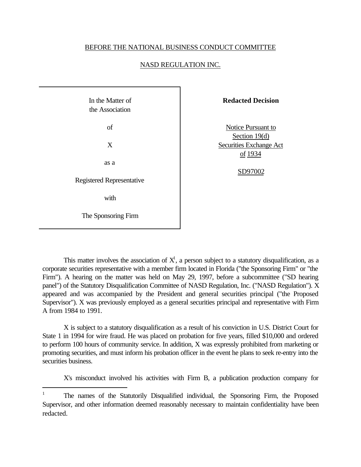## BEFORE THE NATIONAL BUSINESS CONDUCT COMMITTEE

## NASD REGULATION INC.

In the Matter of the Association of X as a Registered Representative with The Sponsoring Firm

 $\overline{a}$ 

**Redacted Decision**

Notice Pursuant to Section 19(d) Securities Exchange Act of 1934

SD97002

This matter involves the association of  $X<sup>1</sup>$ , a person subject to a statutory disqualification, as a corporate securities representative with a member firm located in Florida ("the Sponsoring Firm" or "the Firm"). A hearing on the matter was held on May 29, 1997, before a subcommittee ("SD hearing panel") of the Statutory Disqualification Committee of NASD Regulation, Inc. ("NASD Regulation"). X appeared and was accompanied by the President and general securities principal ("the Proposed Supervisor"). X was previously employed as a general securities principal and representative with Firm A from 1984 to 1991.

X is subject to a statutory disqualification as a result of his conviction in U.S. District Court for State 1 in 1994 for wire fraud. He was placed on probation for five years, filled \$10,000 and ordered to perform 100 hours of community service. In addition, X was expressly prohibited from marketing or promoting securities, and must inform his probation officer in the event he plans to seek re-entry into the securities business.

X's misconduct involved his activities with Firm B, a publication production company for

<sup>&</sup>lt;sup>1</sup> The names of the Statutorily Disqualified individual, the Sponsoring Firm, the Proposed Supervisor, and other information deemed reasonably necessary to maintain confidentiality have been redacted.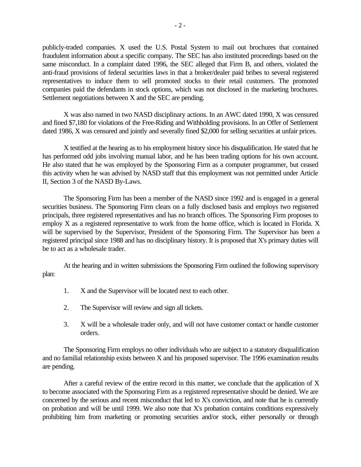publicly-traded companies. X used the U.S. Postal System to mail out brochures that contained fraudulent information about a specific company. The SEC has also instituted proceedings based on the same misconduct. In a complaint dated 1996, the SEC alleged that Firm B, and others, violated the anti-fraud provisions of federal securities laws in that a broker/dealer paid bribes to several registered representatives to induce them to sell promoted stocks to their retail customers. The promoted companies paid the defendants in stock options, which was not disclosed in the marketing brochures. Settlement negotiations between X and the SEC are pending.

X was also named in two NASD disciplinary actions. In an AWC dated 1990, X was censured and fined \$7,180 for violations of the Free-Riding and Withholding provisions. In an Offer of Settlement dated 1986, X was censured and jointly and severally fined \$2,000 for selling securities at unfair prices.

X testified at the hearing as to his employment history since his disqualification. He stated that he has performed odd jobs involving manual labor, and he has been trading options for his own account. He also stated that he was employed by the Sponsoring Firm as a computer programmer, but ceased this activity when he was advised by NASD staff that this employment was not permitted under Article II, Section 3 of the NASD By-Laws.

The Sponsoring Firm has been a member of the NASD since 1992 and is engaged in a general securities business. The Sponsoring Firm clears on a fully disclosed basis and employs two registered principals, three registered representatives and has no branch offices. The Sponsoring Firm proposes to employ X as a registered representative to work from the home office, which is located in Florida. X will be supervised by the Supervisor, President of the Sponsoring Firm. The Supervisor has been a registered principal since 1988 and has no disciplinary history. It is proposed that X's primary duties will be to act as a wholesale trader.

At the hearing and in written submissions the Sponsoring Firm outlined the following supervisory plan:

- 1. X and the Supervisor will be located next to each other.
- 2. The Supervisor will review and sign all tickets.
- 3. X will be a wholesale trader only, and will not have customer contact or handle customer orders.

The Sponsoring Firm employs no other individuals who are subject to a statutory disqualification and no familial relationship exists between X and his proposed supervisor. The 1996 examination results are pending.

After a careful review of the entire record in this matter, we conclude that the application of X to become associated with the Sponsoring Firm as a registered representative should be denied. We are concerned by the serious and recent misconduct that led to X's conviction, and note that he is currently on probation and will be until 1999. We also note that X's probation contains conditions expressively prohibiting him from marketing or promoting securities and/or stock, either personally or through